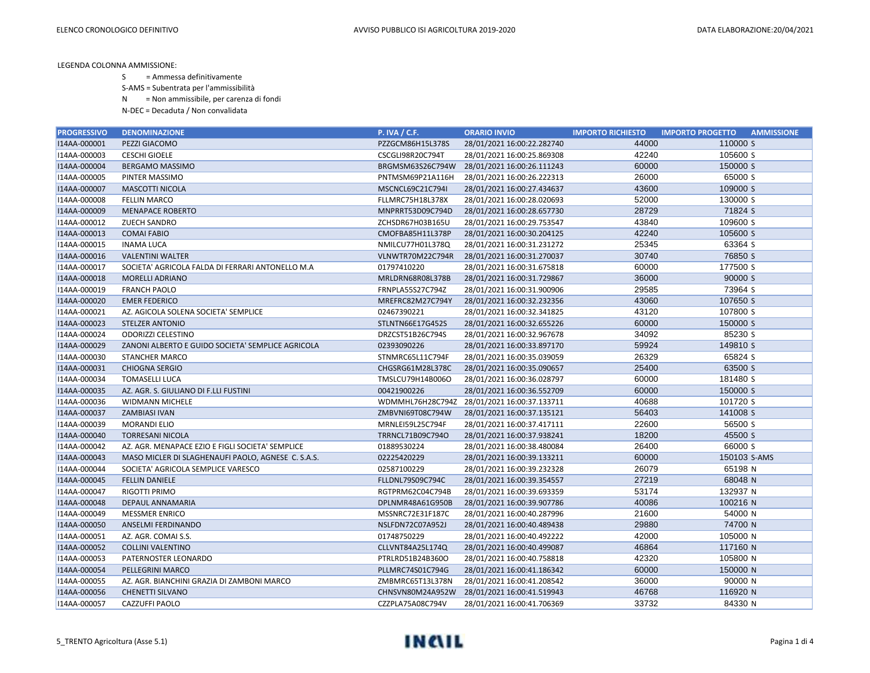S = Ammessa definitivamente

S-AMS = Subentrata per l'ammissibilità

N = Non ammissibile, per carenza di fondi

| <b>PROGRESSIVO</b> | <b>DENOMINAZIONE</b>                               | <b>P. IVA / C.F.</b> | <b>ORARIO INVIO</b>                         | <b>IMPORTO RICHIESTO</b> | <b>IMPORTO PROGETTO</b><br><b>AMMISSIONE</b> |
|--------------------|----------------------------------------------------|----------------------|---------------------------------------------|--------------------------|----------------------------------------------|
| I14AA-000001       | PEZZI GIACOMO                                      | PZZGCM86H15L378S     | 28/01/2021 16:00:22.282740                  | 44000                    | 110000 S                                     |
| I14AA-000003       | <b>CESCHI GIOELE</b>                               | CSCGLI98R20C794T     | 28/01/2021 16:00:25.869308                  | 42240                    | 105600 S                                     |
| I14AA-000004       | <b>BERGAMO MASSIMO</b>                             | BRGMSM63S26C794W     | 28/01/2021 16:00:26.111243                  | 60000                    | 150000 S                                     |
| I14AA-000005       | PINTER MASSIMO                                     | PNTMSM69P21A116H     | 28/01/2021 16:00:26.222313                  | 26000                    | 65000 S                                      |
| I14AA-000007       | <b>MASCOTTI NICOLA</b>                             | MSCNCL69C21C794I     | 28/01/2021 16:00:27.434637                  | 43600                    | 109000 S                                     |
| I14AA-000008       | <b>FELLIN MARCO</b>                                | FLLMRC75H18L378X     | 28/01/2021 16:00:28.020693                  | 52000                    | 130000 S                                     |
| I14AA-000009       | <b>MENAPACE ROBERTO</b>                            | MNPRRT53D09C794D     | 28/01/2021 16:00:28.657730                  | 28729                    | 71824 S                                      |
| I14AA-000012       | <b>ZUECH SANDRO</b>                                | ZCHSDR67H03B165U     | 28/01/2021 16:00:29.753547                  | 43840                    | 109600 S                                     |
| I14AA-000013       | <b>COMAI FABIO</b>                                 | CMOFBA85H11L378P     | 28/01/2021 16:00:30.204125                  | 42240                    | 105600 S                                     |
| I14AA-000015       | <b>INAMA LUCA</b>                                  | NMILCU77H01L378Q     | 28/01/2021 16:00:31.231272                  | 25345                    | 63364 S                                      |
| I14AA-000016       | <b>VALENTINI WALTER</b>                            | VLNWTR70M22C794R     | 28/01/2021 16:00:31.270037                  | 30740                    | 76850 S                                      |
| I14AA-000017       | SOCIETA' AGRICOLA FALDA DI FERRARI ANTONELLO M.A   | 01797410220          | 28/01/2021 16:00:31.675818                  | 60000                    | 177500 S                                     |
| I14AA-000018       | <b>MORELLI ADRIANO</b>                             | MRLDRN68R08L378B     | 28/01/2021 16:00:31.729867                  | 36000                    | 90000 S                                      |
| I14AA-000019       | <b>FRANCH PAOLO</b>                                | FRNPLA55S27C794Z     | 28/01/2021 16:00:31.900906                  | 29585                    | 73964 S                                      |
| I14AA-000020       | <b>EMER FEDERICO</b>                               | MREFRC82M27C794Y     | 28/01/2021 16:00:32.232356                  | 43060                    | 107650 S                                     |
| I14AA-000021       | AZ. AGICOLA SOLENA SOCIETA' SEMPLICE               | 02467390221          | 28/01/2021 16:00:32.341825                  | 43120                    | 107800 S                                     |
| I14AA-000023       | <b>STELZER ANTONIO</b>                             | STLNTN66E17G452S     | 28/01/2021 16:00:32.655226                  | 60000                    | 150000 S                                     |
| I14AA-000024       | <b>ODORIZZI CELESTINO</b>                          | DRZCST51B26C794S     | 28/01/2021 16:00:32.967678                  | 34092                    | 85230 S                                      |
| I14AA-000029       | ZANONI ALBERTO E GUIDO SOCIETA' SEMPLICE AGRICOLA  | 02393090226          | 28/01/2021 16:00:33.897170                  | 59924                    | 149810 S                                     |
| I14AA-000030       | <b>STANCHER MARCO</b>                              | STNMRC65L11C794F     | 28/01/2021 16:00:35.039059                  | 26329                    | 65824 S                                      |
| I14AA-000031       | <b>CHIOGNA SERGIO</b>                              | CHGSRG61M28L378C     | 28/01/2021 16:00:35.090657                  | 25400                    | 63500 S                                      |
| I14AA-000034       | <b>TOMASELLI LUCA</b>                              | TMSLCU79H14B006O     | 28/01/2021 16:00:36.028797                  | 60000                    | 181480 S                                     |
| I14AA-000035       | AZ. AGR. S. GIULIANO DI F.LLI FUSTINI              | 00421900226          | 28/01/2021 16:00:36.552709                  | 60000                    | 150000 S                                     |
| I14AA-000036       | <b>WIDMANN MICHELE</b>                             |                      | WDMMHL76H28C794Z 28/01/2021 16:00:37.133711 | 40688                    | 101720 S                                     |
| I14AA-000037       | <b>ZAMBIASI IVAN</b>                               | ZMBVNI69T08C794W     | 28/01/2021 16:00:37.135121                  | 56403                    | 141008 S                                     |
| I14AA-000039       | <b>MORANDI ELIO</b>                                | MRNLEI59L25C794F     | 28/01/2021 16:00:37.417111                  | 22600                    | 56500 S                                      |
| I14AA-000040       | <b>TORRESANI NICOLA</b>                            | TRRNCL71B09C794O     | 28/01/2021 16:00:37.938241                  | 18200                    | 45500 S                                      |
| I14AA-000042       | AZ. AGR. MENAPACE EZIO E FIGLI SOCIETA' SEMPLICE   | 01889530224          | 28/01/2021 16:00:38.480084                  | 26400                    | 66000 S                                      |
| I14AA-000043       | MASO MICLER DI SLAGHENAUFI PAOLO, AGNESE C. S.A.S. | 02225420229          | 28/01/2021 16:00:39.133211                  | 60000                    | 150103 S-AMS                                 |
| I14AA-000044       | SOCIETA' AGRICOLA SEMPLICE VARESCO                 | 02587100229          | 28/01/2021 16:00:39.232328                  | 26079                    | 65198 N                                      |
| I14AA-000045       | <b>FELLIN DANIELE</b>                              | FLLDNL79S09C794C     | 28/01/2021 16:00:39.354557                  | 27219                    | 68048 N                                      |
| I14AA-000047       | <b>RIGOTTI PRIMO</b>                               | RGTPRM62C04C794B     | 28/01/2021 16:00:39.693359                  | 53174                    | 132937 N                                     |
| I14AA-000048       | DEPAUL ANNAMARIA                                   | DPLNMR48A61G950B     | 28/01/2021 16:00:39.907786                  | 40086                    | 100216 N                                     |
| I14AA-000049       | <b>MESSMER ENRICO</b>                              | MSSNRC72E31F187C     | 28/01/2021 16:00:40.287996                  | 21600                    | 54000 N                                      |
| I14AA-000050       | ANSELMI FERDINANDO                                 | NSLFDN72C07A952J     | 28/01/2021 16:00:40.489438                  | 29880                    | 74700 N                                      |
| I14AA-000051       | AZ. AGR. COMAI S.S.                                | 01748750229          | 28/01/2021 16:00:40.492222                  | 42000                    | 105000 N                                     |
| I14AA-000052       | <b>COLLINI VALENTINO</b>                           | CLLVNT84A25L174Q     | 28/01/2021 16:00:40.499087                  | 46864                    | 117160 N                                     |
| I14AA-000053       | PATERNOSTER LEONARDO                               | PTRLRD51B24B360O     | 28/01/2021 16:00:40.758818                  | 42320                    | 105800 N                                     |
| I14AA-000054       | <b>PELLEGRINI MARCO</b>                            | PLLMRC74S01C794G     | 28/01/2021 16:00:41.186342                  | 60000                    | 150000 N                                     |
| I14AA-000055       | AZ. AGR. BIANCHINI GRAZIA DI ZAMBONI MARCO         | ZMBMRC65T13L378N     | 28/01/2021 16:00:41.208542                  | 36000                    | 90000 N                                      |
| I14AA-000056       | <b>CHENETTI SILVANO</b>                            |                      | CHNSVN80M24A952W 28/01/2021 16:00:41.519943 | 46768                    | 116920 N                                     |
| I14AA-000057       | CAZZUFFI PAOLO                                     | CZZPLA75A08C794V     | 28/01/2021 16:00:41.706369                  | 33732                    | 84330 N                                      |

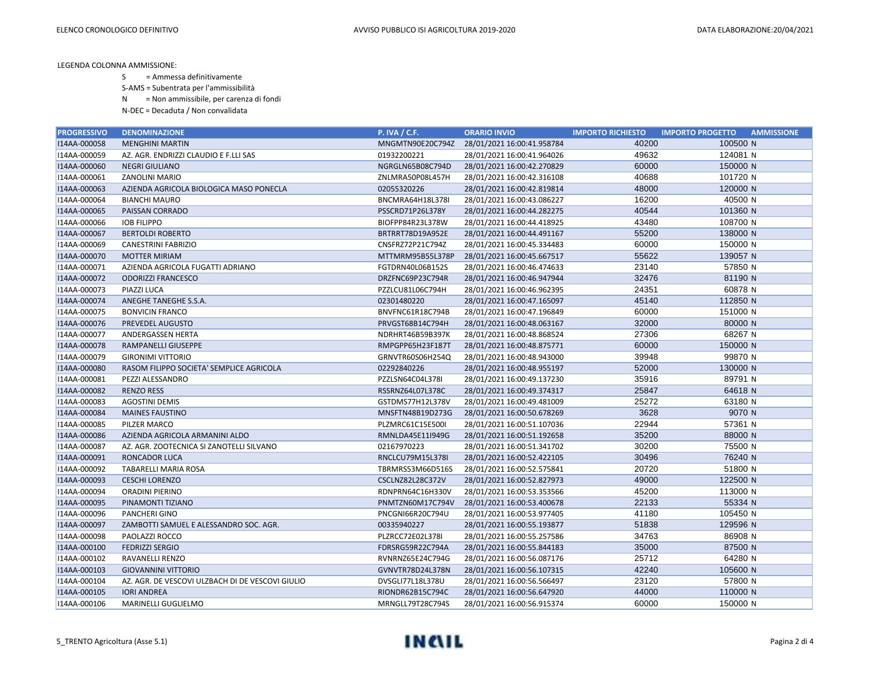S = Ammessa definitivamente

S-AMS = Subentrata per l'ammissibilità

N = Non ammissibile, per carenza di fondi

| <b>PROGRESSIVO</b> | <b>DENOMINAZIONE</b>                             | <b>P. IVA / C.F.</b> | <b>ORARIO INVIO</b>        | <b>IMPORTO RICHIESTO</b> | <b>IMPORTO PROGETTO</b><br><b>AMMISSIONE</b> |
|--------------------|--------------------------------------------------|----------------------|----------------------------|--------------------------|----------------------------------------------|
| I14AA-000058       | <b>MENGHINI MARTIN</b>                           | MNGMTN90E20C794Z     | 28/01/2021 16:00:41.958784 | 40200                    | 100500 N                                     |
| I14AA-000059       | AZ. AGR. ENDRIZZI CLAUDIO E F.LLI SAS            | 01932200221          | 28/01/2021 16:00:41.964026 | 49632                    | 124081 N                                     |
| I14AA-000060       | <b>NEGRI GIULIANO</b>                            | NGRGLN65B08C794D     | 28/01/2021 16:00:42.270829 | 60000                    | 150000 N                                     |
| I14AA-000061       | ZANOLINI MARIO                                   | ZNLMRA50P08L457H     | 28/01/2021 16:00:42.316108 | 40688                    | 101720 N                                     |
| I14AA-000063       | AZIENDA AGRICOLA BIOLOGICA MASO PONECLA          | 02055320226          | 28/01/2021 16:00:42.819814 | 48000                    | 120000 N                                     |
| I14AA-000064       | <b>BIANCHI MAURO</b>                             | BNCMRA64H18L378I     | 28/01/2021 16:00:43.086227 | 16200                    | 40500 N                                      |
| I14AA-000065       | PAISSAN CORRADO                                  | PSSCRD71P26L378Y     | 28/01/2021 16:00:44.282275 | 40544                    | 101360 N                                     |
| I14AA-000066       | <b>IOB FILIPPO</b>                               | BIOFPP84R23L378W     | 28/01/2021 16:00:44.418925 | 43480                    | 108700 N                                     |
| I14AA-000067       | <b>BERTOLDI ROBERTO</b>                          | BRTRRT78D19A952E     | 28/01/2021 16:00:44.491167 | 55200                    | 138000 N                                     |
| I14AA-000069       | CANESTRINI FABRIZIO                              | CNSFRZ72P21C794Z     | 28/01/2021 16:00:45.334483 | 60000                    | 150000 N                                     |
| I14AA-000070       | <b>MOTTER MIRIAM</b>                             | MTTMRM95B55L378P     | 28/01/2021 16:00:45.667517 | 55622                    | 139057 N                                     |
| I14AA-000071       | AZIENDA AGRICOLA FUGATTI ADRIANO                 | FGTDRN40L06B152S     | 28/01/2021 16:00:46.474633 | 23140                    | 57850 N                                      |
| I14AA-000072       | <b>ODORIZZI FRANCESCO</b>                        | DRZFNC69P23C794R     | 28/01/2021 16:00:46.947944 | 32476                    | 81190 N                                      |
| I14AA-000073       | PIAZZI LUCA                                      | PZZLCU81L06C794H     | 28/01/2021 16:00:46.962395 | 24351                    | 60878 N                                      |
| I14AA-000074       | ANEGHE TANEGHE S.S.A.                            | 02301480220          | 28/01/2021 16:00:47.165097 | 45140                    | 112850 N                                     |
| I14AA-000075       | <b>BONVICIN FRANCO</b>                           | BNVFNC61R18C794B     | 28/01/2021 16:00:47.196849 | 60000                    | 151000 N                                     |
| I14AA-000076       | PREVEDEL AUGUSTO                                 | PRVGST68B14C794H     | 28/01/2021 16:00:48.063167 | 32000                    | 80000 N                                      |
| I14AA-000077       | ANDERGASSEN HERTA                                | NDRHRT46B59B397K     | 28/01/2021 16:00:48.868524 | 27306                    | 68267 N                                      |
| I14AA-000078       | <b>RAMPANELLI GIUSEPPE</b>                       | RMPGPP65H23F187T     | 28/01/2021 16:00:48.875771 | 60000                    | 150000 N                                     |
| I14AA-000079       | <b>GIRONIMI VITTORIO</b>                         | GRNVTR60S06H254Q     | 28/01/2021 16:00:48.943000 | 39948                    | 99870 N                                      |
| I14AA-000080       | RASOM FILIPPO SOCIETA' SEMPLICE AGRICOLA         | 02292840226          | 28/01/2021 16:00:48.955197 | 52000                    | 130000 N                                     |
| I14AA-000081       | PEZZI ALESSANDRO                                 | PZZLSN64C04L378I     | 28/01/2021 16:00:49.137230 | 35916                    | 89791 N                                      |
| I14AA-000082       | <b>RENZO RESS</b>                                | RSSRNZ64L07L378C     | 28/01/2021 16:00:49.374317 | 25847                    | 64618 N                                      |
| I14AA-000083       | <b>AGOSTINI DEMIS</b>                            | GSTDMS77H12L378V     | 28/01/2021 16:00:49.481009 | 25272                    | 63180 N                                      |
| I14AA-000084       | <b>MAINES FAUSTINO</b>                           | MNSFTN48B19D273G     | 28/01/2021 16:00:50.678269 | 3628                     | 9070 N                                       |
| I14AA-000085       | PILZER MARCO                                     | PLZMRC61C15E500I     | 28/01/2021 16:00:51.107036 | 22944                    | 57361 N                                      |
| I14AA-000086       | AZIENDA AGRICOLA ARMANINI ALDO                   | RMNLDA45E11I949G     | 28/01/2021 16:00:51.192658 | 35200                    | 88000 N                                      |
| I14AA-000087       | AZ. AGR. ZOOTECNICA SI ZANOTELLI SILVANO         | 02167970223          | 28/01/2021 16:00:51.341702 | 30200                    | 75500 N                                      |
| I14AA-000091       | <b>RONCADOR LUCA</b>                             | RNCLCU79M15L378I     | 28/01/2021 16:00:52.422105 | 30496                    | 76240 N                                      |
| I14AA-000092       | TABARELLI MARIA ROSA                             | TBRMRS53M66D516S     | 28/01/2021 16:00:52.575841 | 20720                    | 51800 N                                      |
| I14AA-000093       | <b>CESCHI LORENZO</b>                            | CSCLNZ82L28C372V     | 28/01/2021 16:00:52.827973 | 49000                    | 122500 N                                     |
| I14AA-000094       | <b>ORADINI PIERINO</b>                           | RDNPRN64C16H330V     | 28/01/2021 16:00:53.353566 | 45200                    | 113000 N                                     |
| I14AA-000095       | PINAMONTI TIZIANO                                | PNMTZN60M17C794V     | 28/01/2021 16:00:53.400678 | 22133                    | 55334 N                                      |
| I14AA-000096       | PANCHERI GINO                                    | PNCGNI66R20C794U     | 28/01/2021 16:00:53.977405 | 41180                    | 105450 N                                     |
| I14AA-000097       | ZAMBOTTI SAMUEL E ALESSANDRO SOC. AGR.           | 00335940227          | 28/01/2021 16:00:55.193877 | 51838                    | 129596 N                                     |
| I14AA-000098       | PAOLAZZI ROCCO                                   | PLZRCC72E02L378I     | 28/01/2021 16:00:55.257586 | 34763                    | 86908 N                                      |
| I14AA-000100       | <b>FEDRIZZI SERGIO</b>                           | FDRSRG59R22C794A     | 28/01/2021 16:00:55.844183 | 35000                    | 87500 N                                      |
| I14AA-000102       | RAVANELLI RENZO                                  | RVNRNZ65E24C794G     | 28/01/2021 16:00:56.087176 | 25712                    | 64280 N                                      |
| I14AA-000103       | <b>GIOVANNINI VITTORIO</b>                       | GVNVTR78D24L378N     | 28/01/2021 16:00:56.107315 | 42240                    | 105600 N                                     |
| I14AA-000104       | AZ. AGR. DE VESCOVI ULZBACH DI DE VESCOVI GIULIO | DVSGLI77L18L378U     | 28/01/2021 16:00:56.566497 | 23120                    | 57800 N                                      |
| I14AA-000105       | <b>IORI ANDREA</b>                               | RIONDR62B15C794C     | 28/01/2021 16:00:56.647920 | 44000                    | 110000 N                                     |
| I14AA-000106       | MARINELLI GUGLIELMO                              | MRNGLL79T28C794S     | 28/01/2021 16:00:56.915374 | 60000                    | 150000 N                                     |

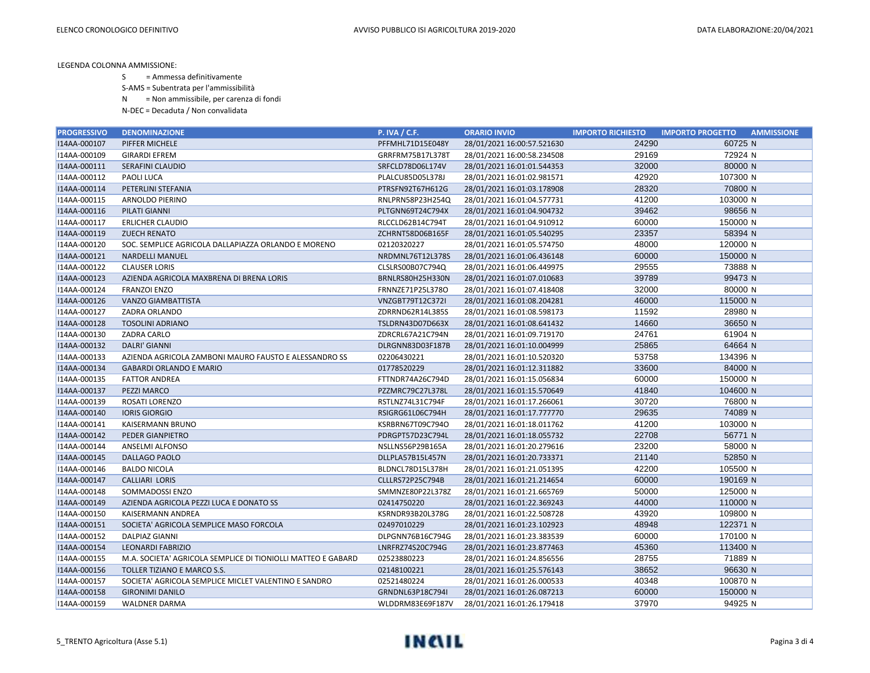S = Ammessa definitivamente

S-AMS = Subentrata per l'ammissibilità

N = Non ammissibile, per carenza di fondi

| <b>PROGRESSIVO</b> | <b>DENOMINAZIONE</b>                                         | <b>P. IVA / C.F.</b> | <b>ORARIO INVIO</b>        | <b>IMPORTO RICHIESTO</b> | <b>AMMISSIONE</b><br><b>IMPORTO PROGETTO</b> |
|--------------------|--------------------------------------------------------------|----------------------|----------------------------|--------------------------|----------------------------------------------|
| I14AA-000107       | PIFFER MICHELE                                               | PFFMHL71D15E048Y     | 28/01/2021 16:00:57.521630 | 24290                    | 60725 N                                      |
| I14AA-000109       | <b>GIRARDI EFREM</b>                                         | GRRFRM75B17L378T     | 28/01/2021 16:00:58.234508 | 29169                    | 72924 N                                      |
| I14AA-000111       | SERAFINI CLAUDIO                                             | SRFCLD78D06L174V     | 28/01/2021 16:01:01.544353 | 32000                    | 80000 N                                      |
| I14AA-000112       | PAOLI LUCA                                                   | PLALCU85D05L378J     | 28/01/2021 16:01:02.981571 | 42920                    | 107300 N                                     |
| I14AA-000114       | PETERLINI STEFANIA                                           | PTRSFN92T67H612G     | 28/01/2021 16:01:03.178908 | 28320                    | 70800 N                                      |
| I14AA-000115       | ARNOLDO PIERINO                                              | RNLPRN58P23H254Q     | 28/01/2021 16:01:04.577731 | 41200                    | 103000 N                                     |
| I14AA-000116       | PILATI GIANNI                                                | PLTGNN69T24C794X     | 28/01/2021 16:01:04.904732 | 39462                    | 98656 N                                      |
| I14AA-000117       | <b>ERLICHER CLAUDIO</b>                                      | RLCCLD62B14C794T     | 28/01/2021 16:01:04.910912 | 60000                    | 150000 N                                     |
| I14AA-000119       | <b>ZUECH RENATO</b>                                          | ZCHRNT58D06B165F     | 28/01/2021 16:01:05.540295 | 23357                    | 58394 N                                      |
| I14AA-000120       | SOC. SEMPLICE AGRICOLA DALLAPIAZZA ORLANDO E MORENO          | 02120320227          | 28/01/2021 16:01:05.574750 | 48000                    | 120000 N                                     |
| I14AA-000121       | <b>NARDELLI MANUEL</b>                                       | NRDMNL76T12L378S     | 28/01/2021 16:01:06.436148 | 60000                    | 150000 N                                     |
| I14AA-000122       | <b>CLAUSER LORIS</b>                                         | CLSLRS00B07C794Q     | 28/01/2021 16:01:06.449975 | 29555                    | 73888 N                                      |
| I14AA-000123       | AZIENDA AGRICOLA MAXBRENA DI BRENA LORIS                     | BRNLRS80H25H330N     | 28/01/2021 16:01:07.010683 | 39789                    | 99473 N                                      |
| I14AA-000124       | <b>FRANZOI ENZO</b>                                          | FRNNZE71P25L378O     | 28/01/2021 16:01:07.418408 | 32000                    | 80000 N                                      |
| I14AA-000126       | <b>VANZO GIAMBATTISTA</b>                                    | VNZGBT79T12C372I     | 28/01/2021 16:01:08.204281 | 46000                    | 115000 N                                     |
| I14AA-000127       | ZADRA ORLANDO                                                | ZDRRND62R14L385S     | 28/01/2021 16:01:08.598173 | 11592                    | 28980 N                                      |
| I14AA-000128       | <b>TOSOLINI ADRIANO</b>                                      | TSLDRN43D07D663X     | 28/01/2021 16:01:08.641432 | 14660                    | 36650 N                                      |
| I14AA-000130       | ZADRA CARLO                                                  | ZDRCRL67A21C794N     | 28/01/2021 16:01:09.719170 | 24761                    | 61904 N                                      |
| I14AA-000132       | <b>DALRI' GIANNI</b>                                         | DLRGNN83D03F187B     | 28/01/2021 16:01:10.004999 | 25865                    | 64664 N                                      |
| I14AA-000133       | AZIENDA AGRICOLA ZAMBONI MAURO FAUSTO E ALESSANDRO SS        | 02206430221          | 28/01/2021 16:01:10.520320 | 53758                    | 134396 N                                     |
| I14AA-000134       | <b>GABARDI ORLANDO E MARIO</b>                               | 01778520229          | 28/01/2021 16:01:12.311882 | 33600                    | 84000 N                                      |
| I14AA-000135       | <b>FATTOR ANDREA</b>                                         | FTTNDR74A26C794D     | 28/01/2021 16:01:15.056834 | 60000                    | 150000 N                                     |
| I14AA-000137       | PEZZI MARCO                                                  | PZZMRC79C27L378L     | 28/01/2021 16:01:15.570649 | 41840                    | 104600 N                                     |
| I14AA-000139       | ROSATI LORENZO                                               | RSTLNZ74L31C794F     | 28/01/2021 16:01:17.266061 | 30720                    | 76800 N                                      |
| I14AA-000140       | <b>IORIS GIORGIO</b>                                         | RSIGRG61L06C794H     | 28/01/2021 16:01:17.777770 | 29635                    | 74089 N                                      |
| I14AA-000141       | KAISERMANN BRUNO                                             | KSRBRN67T09C794O     | 28/01/2021 16:01:18.011762 | 41200                    | 103000 N                                     |
| I14AA-000142       | PEDER GIANPIETRO                                             | PDRGPT57D23C794L     | 28/01/2021 16:01:18.055732 | 22708                    | 56771 N                                      |
| I14AA-000144       | ANSELMI ALFONSO                                              | NSLLNS56P29B165A     | 28/01/2021 16:01:20.279616 | 23200                    | 58000 N                                      |
| I14AA-000145       | DALLAGO PAOLO                                                | DLLPLA57B15L457N     | 28/01/2021 16:01:20.733371 | 21140                    | 52850 N                                      |
| I14AA-000146       | <b>BALDO NICOLA</b>                                          | BLDNCL78D15L378H     | 28/01/2021 16:01:21.051395 | 42200                    | 105500 N                                     |
| I14AA-000147       | <b>CALLIARI LORIS</b>                                        | CLLLRS72P25C794B     | 28/01/2021 16:01:21.214654 | 60000                    | 190169 N                                     |
| I14AA-000148       | SOMMADOSSI ENZO                                              | SMMNZE80P22L378Z     | 28/01/2021 16:01:21.665769 | 50000                    | 125000 N                                     |
| I14AA-000149       | AZIENDA AGRICOLA PEZZI LUCA E DONATO SS                      | 02414750220          | 28/01/2021 16:01:22.369243 | 44000                    | 110000 N                                     |
| I14AA-000150       | KAISERMANN ANDREA                                            | KSRNDR93B20L378G     | 28/01/2021 16:01:22.508728 | 43920                    | 109800 N                                     |
| I14AA-000151       | SOCIETA' AGRICOLA SEMPLICE MASO FORCOLA                      | 02497010229          | 28/01/2021 16:01:23.102923 | 48948                    | 122371 N                                     |
| I14AA-000152       | <b>DALPIAZ GIANNI</b>                                        | DLPGNN76B16C794G     | 28/01/2021 16:01:23.383539 | 60000                    | 170100 N                                     |
| I14AA-000154       | <b>LEONARDI FABRIZIO</b>                                     | LNRFRZ74S20C794G     | 28/01/2021 16:01:23.877463 | 45360                    | 113400 N                                     |
| I14AA-000155       | M.A. SOCIETA' AGRICOLA SEMPLICE DI TIONIOLLI MATTEO E GABARD | 02523880223          | 28/01/2021 16:01:24.856556 | 28755                    | 71889 N                                      |
| I14AA-000156       | TOLLER TIZIANO E MARCO S.S.                                  | 02148100221          | 28/01/2021 16:01:25.576143 | 38652                    | 96630 N                                      |
| I14AA-000157       | SOCIETA' AGRICOLA SEMPLICE MICLET VALENTINO E SANDRO         | 02521480224          | 28/01/2021 16:01:26.000533 | 40348                    | 100870 N                                     |
| I14AA-000158       | <b>GIRONIMI DANILO</b>                                       | GRNDNL63P18C794I     | 28/01/2021 16:01:26.087213 | 60000                    | 150000 N                                     |
| I14AA-000159       | <b>WALDNER DARMA</b>                                         | WLDDRM83E69F187V     | 28/01/2021 16:01:26.179418 | 37970                    | 94925 N                                      |